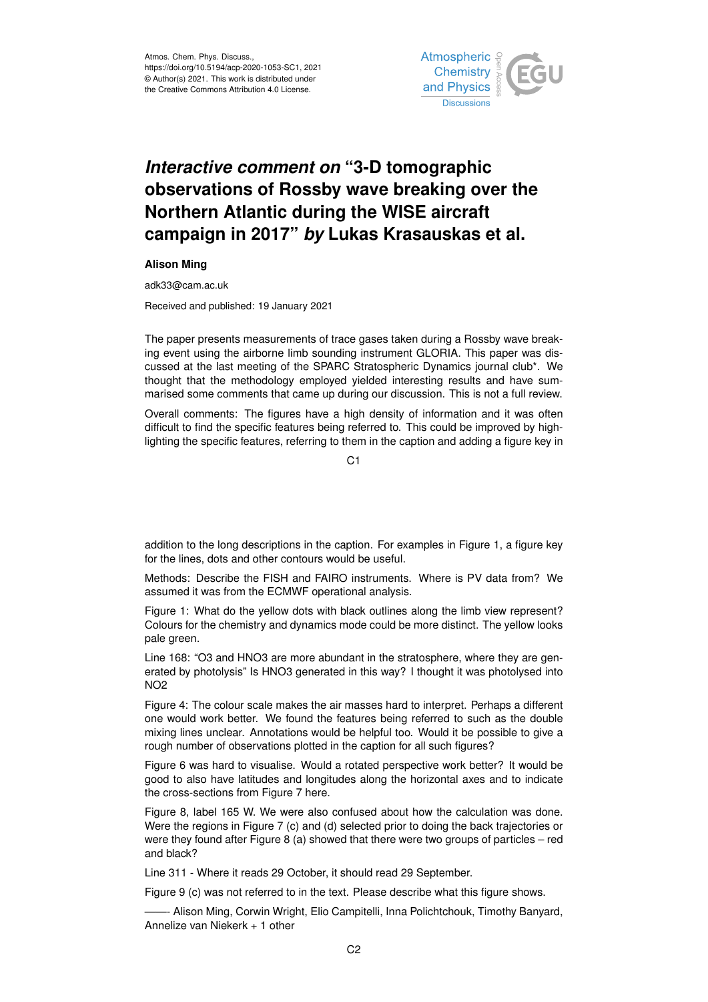

## *Interactive comment on* **"3-D tomographic observations of Rossby wave breaking over the Northern Atlantic during the WISE aircraft campaign in 2017"** *by* **Lukas Krasauskas et al.**

## **Alison Ming**

adk33@cam.ac.uk

Received and published: 19 January 2021

The paper presents measurements of trace gases taken during a Rossby wave breaking event using the airborne limb sounding instrument GLORIA. This paper was discussed at the last meeting of the SPARC Stratospheric Dynamics journal club\*. We thought that the methodology employed yielded interesting results and have summarised some comments that came up during our discussion. This is not a full review.

Overall comments: The figures have a high density of information and it was often difficult to find the specific features being referred to. This could be improved by highlighting the specific features, referring to them in the caption and adding a figure key in

 $C<sub>1</sub>$ 

addition to the long descriptions in the caption. For examples in Figure 1, a figure key for the lines, dots and other contours would be useful.

Methods: Describe the FISH and FAIRO instruments. Where is PV data from? We assumed it was from the ECMWF operational analysis.

Figure 1: What do the yellow dots with black outlines along the limb view represent? Colours for the chemistry and dynamics mode could be more distinct. The yellow looks pale green.

Line 168: "O3 and HNO3 are more abundant in the stratosphere, where they are generated by photolysis" Is HNO3 generated in this way? I thought it was photolysed into NO2

Figure 4: The colour scale makes the air masses hard to interpret. Perhaps a different one would work better. We found the features being referred to such as the double mixing lines unclear. Annotations would be helpful too. Would it be possible to give a rough number of observations plotted in the caption for all such figures?

Figure 6 was hard to visualise. Would a rotated perspective work better? It would be good to also have latitudes and longitudes along the horizontal axes and to indicate the cross-sections from Figure 7 here.

Figure 8, label 165 W. We were also confused about how the calculation was done. Were the regions in Figure 7 (c) and (d) selected prior to doing the back trajectories or were they found after Figure 8 (a) showed that there were two groups of particles – red and black?

Line 311 - Where it reads 29 October, it should read 29 September.

Figure 9 (c) was not referred to in the text. Please describe what this figure shows.

——- Alison Ming, Corwin Wright, Elio Campitelli, Inna Polichtchouk, Timothy Banyard, Annelize van Niekerk + 1 other